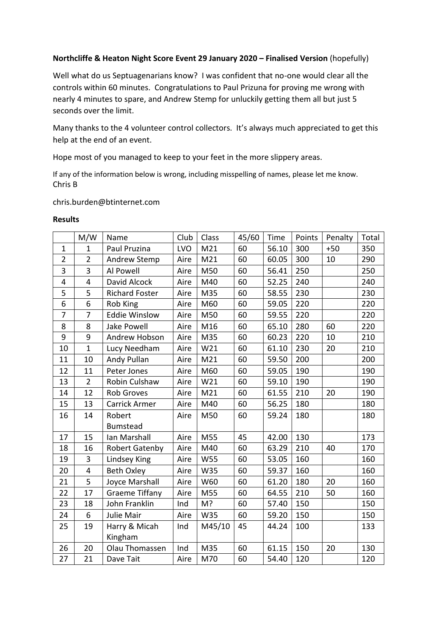## **Northcliffe & Heaton Night Score Event 29 January 2020 – Finalised Version** (hopefully)

Well what do us Septuagenarians know? I was confident that no-one would clear all the controls within 60 minutes. Congratulations to Paul Prizuna for proving me wrong with nearly 4 minutes to spare, and Andrew Stemp for unluckily getting them all but just 5 seconds over the limit.

Many thanks to the 4 volunteer control collectors. It's always much appreciated to get this help at the end of an event.

Hope most of you managed to keep to your feet in the more slippery areas.

If any of the information below is wrong, including misspelling of names, please let me know. Chris B

chris.burden@btinternet.com

## **Results**

|                | M/W                     | Name                  | Club       | Class  | 45/60 | Time  | Points | Penalty | Total |
|----------------|-------------------------|-----------------------|------------|--------|-------|-------|--------|---------|-------|
| $\mathbf{1}$   | $\mathbf{1}$            | Paul Pruzina          | <b>LVO</b> | M21    | 60    | 56.10 | 300    | $+50$   | 350   |
| $\overline{2}$ | $\overline{2}$          | Andrew Stemp          | Aire       | M21    | 60    | 60.05 | 300    | 10      | 290   |
| 3              | 3                       | Al Powell             | Aire       | M50    | 60    | 56.41 | 250    |         | 250   |
| 4              | 4                       | David Alcock          | Aire       | M40    | 60    | 52.25 | 240    |         | 240   |
| 5              | 5                       | <b>Richard Foster</b> | Aire       | M35    | 60    | 58.55 | 230    |         | 230   |
| 6              | 6                       | Rob King              | Aire       | M60    | 60    | 59.05 | 220    |         | 220   |
| $\overline{7}$ | $\overline{7}$          | <b>Eddie Winslow</b>  | Aire       | M50    | 60    | 59.55 | 220    |         | 220   |
| 8              | 8                       | Jake Powell           | Aire       | M16    | 60    | 65.10 | 280    | 60      | 220   |
| 9              | 9                       | Andrew Hobson         | Aire       | M35    | 60    | 60.23 | 220    | 10      | 210   |
| 10             | $\mathbf{1}$            | Lucy Needham          | Aire       | W21    | 60    | 61.10 | 230    | 20      | 210   |
| 11             | 10                      | Andy Pullan           | Aire       | M21    | 60    | 59.50 | 200    |         | 200   |
| 12             | 11                      | Peter Jones           | Aire       | M60    | 60    | 59.05 | 190    |         | 190   |
| 13             | $\overline{2}$          | Robin Culshaw         | Aire       | W21    | 60    | 59.10 | 190    |         | 190   |
| 14             | 12                      | <b>Rob Groves</b>     | Aire       | M21    | 60    | 61.55 | 210    | 20      | 190   |
| 15             | 13                      | Carrick Armer         | Aire       | M40    | 60    | 56.25 | 180    |         | 180   |
| 16             | 14                      | Robert                | Aire       | M50    | 60    | 59.24 | 180    |         | 180   |
|                |                         | <b>Bumstead</b>       |            |        |       |       |        |         |       |
| 17             | 15                      | Ian Marshall          | Aire       | M55    | 45    | 42.00 | 130    |         | 173   |
| 18             | 16                      | <b>Robert Gatenby</b> | Aire       | M40    | 60    | 63.29 | 210    | 40      | 170   |
| 19             | 3                       | Lindsey King          | Aire       | W55    | 60    | 53.05 | 160    |         | 160   |
| 20             | $\overline{\mathbf{4}}$ | <b>Beth Oxley</b>     | Aire       | W35    | 60    | 59.37 | 160    |         | 160   |
| 21             | 5                       | Joyce Marshall        | Aire       | W60    | 60    | 61.20 | 180    | 20      | 160   |
| 22             | 17                      | <b>Graeme Tiffany</b> | Aire       | M55    | 60    | 64.55 | 210    | 50      | 160   |
| 23             | 18                      | John Franklin         | Ind        | M?     | 60    | 57.40 | 150    |         | 150   |
| 24             | 6                       | Julie Mair            | Aire       | W35    | 60    | 59.20 | 150    |         | 150   |
| 25             | 19                      | Harry & Micah         | Ind        | M45/10 | 45    | 44.24 | 100    |         | 133   |
|                |                         | Kingham               |            |        |       |       |        |         |       |
| 26             | 20                      | Olau Thomassen        | Ind        | M35    | 60    | 61.15 | 150    | 20      | 130   |
| 27             | 21                      | Dave Tait             | Aire       | M70    | 60    | 54.40 | 120    |         | 120   |